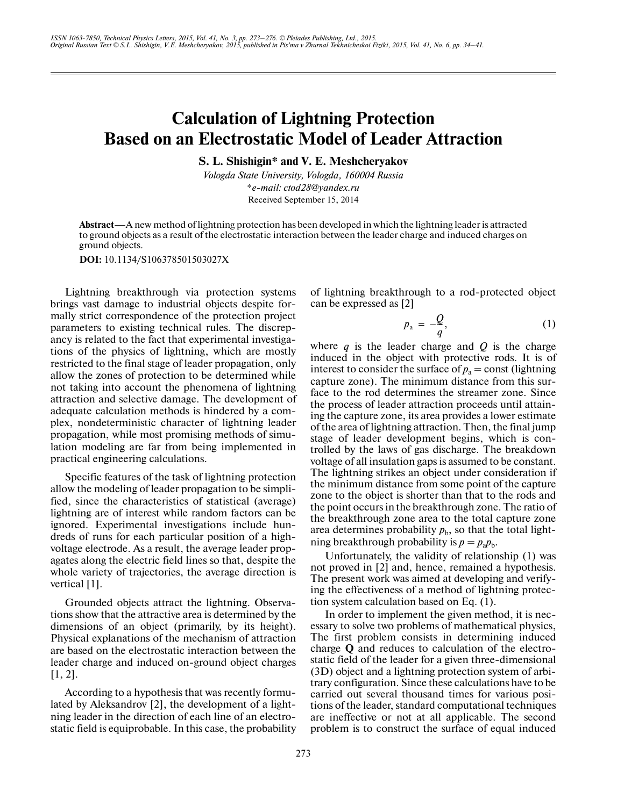## **Calculation of Lightning Protection Based on an Electrostatic Model of Leader Attraction**

**S. L. Shishigin\* and V. E. Meshcheryakov**

*Vologda State University, Vologda, 160004 Russia \*e-mail: ctod28@yandex.ru* Received September 15, 2014

**Abstract**—A new method of lightning protection has been developed in which the lightning leader is attracted to ground objects as a result of the electrostatic interaction between the leader charge and induced charges on ground objects.

**DOI:** 10.1134/S106378501503027X

Lightning breakthrough via protection systems brings vast damage to industrial objects despite for mally strict correspondence of the protection project parameters to existing technical rules. The discrep ancy is related to the fact that experimental investiga tions of the physics of lightning, which are mostly restricted to the final stage of leader propagation, only allow the zones of protection to be determined while not taking into account the phenomena of lightning attraction and selective damage. The development of adequate calculation methods is hindered by a com plex, nondeterministic character of lightning leader propagation, while most promising methods of simu lation modeling are far from being implemented in practical engineering calculations.

Specific features of the task of lightning protection allow the modeling of leader propagation to be simpli fied, since the characteristics of statistical (average) lightning are of interest while random factors can be ignored. Experimental investigations include hun dreds of runs for each particular position of a high voltage electrode. As a result, the average leader prop agates along the electric field lines so that, despite the whole variety of trajectories, the average direction is vertical [1].

Grounded objects attract the lightning. Observa tions show that the attractive area is determined by the dimensions of an object (primarily, by its height). Physical explanations of the mechanism of attraction are based on the electrostatic interaction between the leader charge and induced on-ground object charges  $[1, 2]$ .

According to a hypothesis that was recently formu lated by Aleksandrov [2], the development of a light ning leader in the direction of each line of an electro static field is equiprobable. In this case, the probability

of lightning breakthrough to a rod-protected object can be expressed as [2]

$$
p_{\rm a} = -\frac{Q}{q},\tag{1}
$$

where  $q$  is the leader charge and  $Q$  is the charge induced in the object with protective rods. It is of interest to consider the surface of  $p_a$  = const (lightning capture zone). The minimum distance from this sur face to the rod determines the streamer zone. Since the process of leader attraction proceeds until attain ing the capture zone, its area provides a lower estimate of the area of lightning attraction. Then, the final jump stage of leader development begins, which is con trolled by the laws of gas discharge. The breakdown voltage of all insulation gaps is assumed to be constant. The lightning strikes an object under consideration if the minimum distance from some point of the capture zone to the object is shorter than that to the rods and the point occurs in the breakthrough zone. The ratio of the breakthrough zone area to the total capture zone area determines probability  $p<sub>b</sub>$ , so that the total lightning breakthrough probability is  $p = p_a p_b$ .

Unfortunately, the validity of relationship (1) was not proved in [2] and, hence, remained a hypothesis. The present work was aimed at developing and verify ing the effectiveness of a method of lightning protec tion system calculation based on Eq. (1).

In order to implement the given method, it is nec essary to solve two problems of mathematical physics, The first problem consists in determining induced charge **Q** and reduces to calculation of the electro static field of the leader for a given three-dimensional (3D) object and a lightning protection system of arbi trary configuration. Since these calculations have to be carried out several thousand times for various posi tions of the leader, standard computational techniques are ineffective or not at all applicable. The second problem is to construct the surface of equal induced